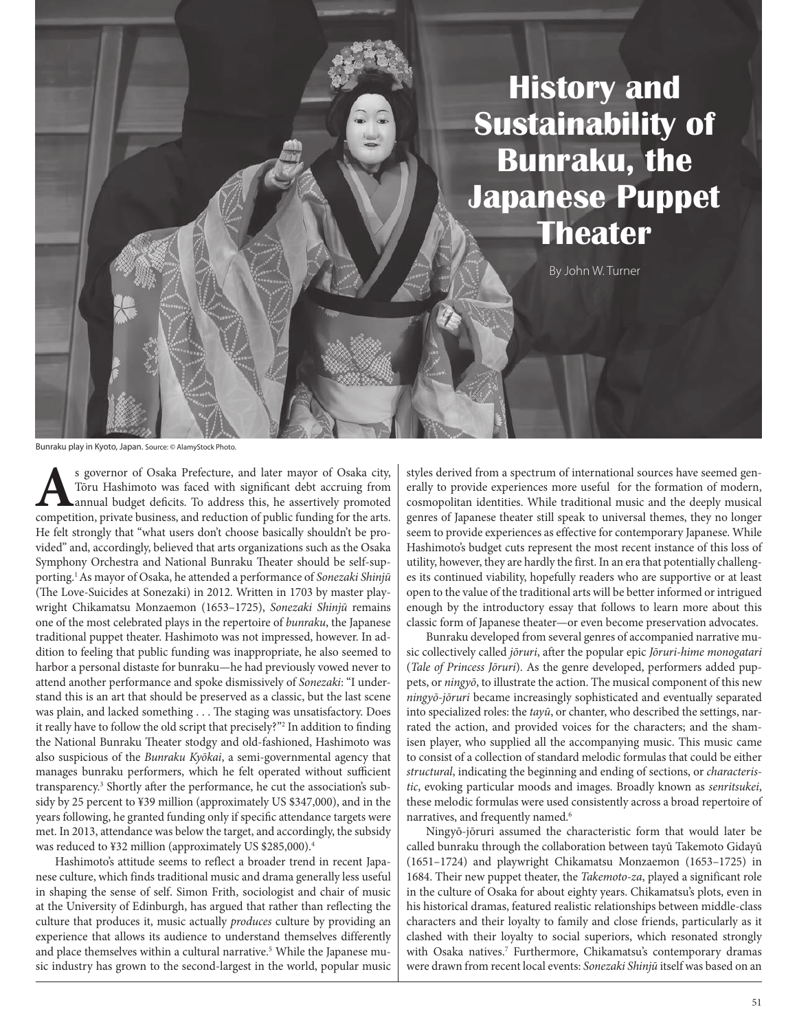## **History and Sustainability of Bunraku, the Japanese Puppet Theater**

By John W. Turner

Bunraku play in Kyoto, Japan. Source: © AlamyStock Photo.

Superior of Osaka Prefecture, and later mayor of Osaka city, Tõru Hashimoto was faced with significant debt accruing from annual budget deficits. To address this, he assertively promoted competition, private business, and Tōru Hashimoto was faced with significant debt accruing from annual budget deficits. To address this, he assertively promoted He felt strongly that "what users don't choose basically shouldn't be provided" and, accordingly, believed that arts organizations such as the Osaka Symphony Orchestra and National Bunraku Theater should be self-supporting.1 As mayor of Osaka, he attended a performance of *Sonezaki Shinjū*  (The Love-Suicides at Sonezaki) in 2012. Written in 1703 by master playwright Chikamatsu Monzaemon (1653–1725), *Sonezaki Shinjū* remains one of the most celebrated plays in the repertoire of *bunraku*, the Japanese traditional puppet theater. Hashimoto was not impressed, however. In addition to feeling that public funding was inappropriate, he also seemed to harbor a personal distaste for bunraku—he had previously vowed never to attend another performance and spoke dismissively of *Sonezaki*: "I understand this is an art that should be preserved as a classic, but the last scene was plain, and lacked something . . . The staging was unsatisfactory. Does it really have to follow the old script that precisely?"2 In addition to finding the National Bunraku Theater stodgy and old-fashioned, Hashimoto was also suspicious of the *Bunraku Kyōkai*, a semi-governmental agency that manages bunraku performers, which he felt operated without sufficient transparency.3 Shortly after the performance, he cut the association's subsidy by 25 percent to ¥39 million (approximately US \$347,000), and in the years following, he granted funding only if specific attendance targets were met. In 2013, attendance was below the target, and accordingly, the subsidy was reduced to ¥32 million (approximately US \$285,000).<sup>4</sup>

Hashimoto's attitude seems to reflect a broader trend in recent Japanese culture, which finds traditional music and drama generally less useful in shaping the sense of self. Simon Frith, sociologist and chair of music at the University of Edinburgh, has argued that rather than reflecting the culture that produces it, music actually *produces* culture by providing an experience that allows its audience to understand themselves differently and place themselves within a cultural narrative.<sup>5</sup> While the Japanese music industry has grown to the second-largest in the world, popular music

styles derived from a spectrum of international sources have seemed generally to provide experiences more useful for the formation of modern, cosmopolitan identities. While traditional music and the deeply musical genres of Japanese theater still speak to universal themes, they no longer seem to provide experiences as effective for contemporary Japanese. While Hashimoto's budget cuts represent the most recent instance of this loss of utility, however, they are hardly the first. In an era that potentially challenges its continued viability, hopefully readers who are supportive or at least open to the value of the traditional arts will be better informed or intrigued enough by the introductory essay that follows to learn more about this classic form of Japanese theater—or even become preservation advocates.

Bunraku developed from several genres of accompanied narrative music collectively called *jōruri*, after the popular epic *Jōruri-hime monogatari* (*Tale of Princess Jōruri*). As the genre developed, performers added puppets, or *ningyō*, to illustrate the action. The musical component of this new *ningyō-jōruri* became increasingly sophisticated and eventually separated into specialized roles: the *tayū*, or chanter, who described the settings, narrated the action, and provided voices for the characters; and the shamisen player, who supplied all the accompanying music. This music came to consist of a collection of standard melodic formulas that could be either *structural*, indicating the beginning and ending of sections, or *characteristic*, evoking particular moods and images. Broadly known as *senritsukei*, these melodic formulas were used consistently across a broad repertoire of narratives, and frequently named.<sup>6</sup>

Ningyō-jōruri assumed the characteristic form that would later be called bunraku through the collaboration between tayū Takemoto Gidayū (1651–1724) and playwright Chikamatsu Monzaemon (1653–1725) in 1684. Their new puppet theater, the *Takemoto-za*, played a significant role in the culture of Osaka for about eighty years. Chikamatsu's plots, even in his historical dramas, featured realistic relationships between middle-class characters and their loyalty to family and close friends, particularly as it clashed with their loyalty to social superiors, which resonated strongly with Osaka natives.7 Furthermore, Chikamatsu's contemporary dramas were drawn from recent local events: *Sonezaki Shinjū* itself was based on an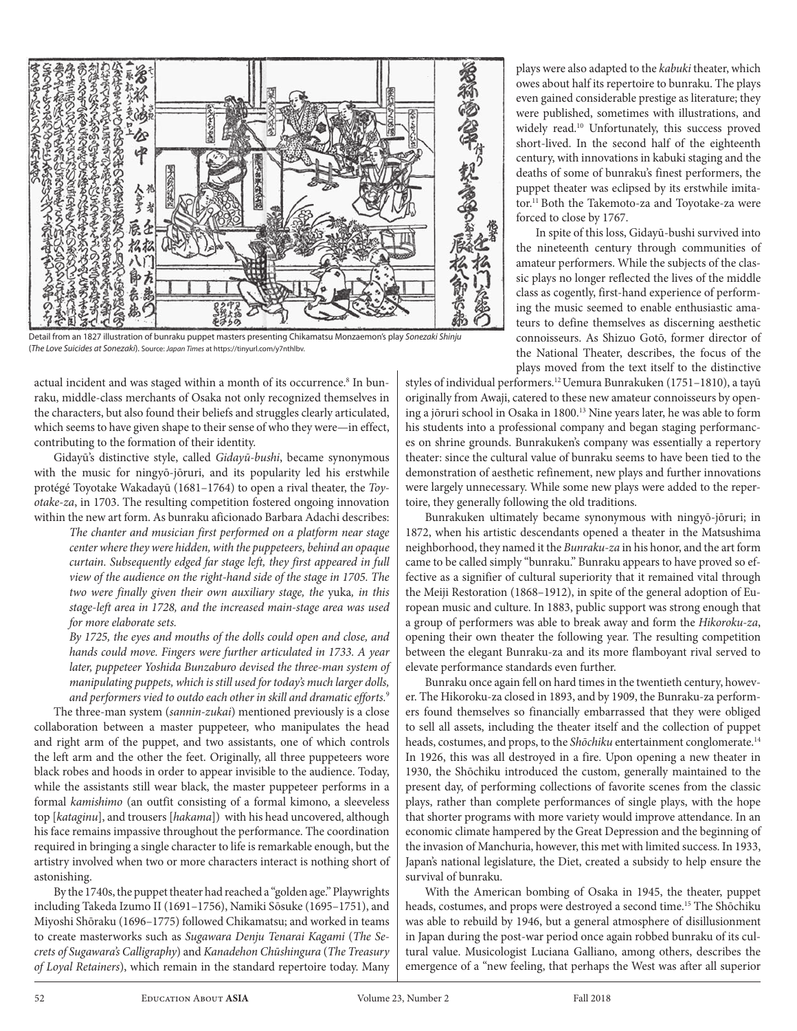

Detail from an 1827 illustration of bunraku puppet masters presenting Chikamatsu Monzaemon's play *Sonezaki Shinju* (*The Love Suicides at Sonezaki*). Source: *Japan Times* at https://tinyurl.com/y7nthlbv.

actual incident and was staged within a month of its occurrence.<sup>8</sup> In bunraku, middle-class merchants of Osaka not only recognized themselves in the characters, but also found their beliefs and struggles clearly articulated, which seems to have given shape to their sense of who they were—in effect, contributing to the formation of their identity.

Gidayū's distinctive style, called *Gidayū-bushi*, became synonymous with the music for ningyō-jōruri, and its popularity led his erstwhile protégé Toyotake Wakadayū (1681–1764) to open a rival theater, the *Toyotake-za*, in 1703. The resulting competition fostered ongoing innovation within the new art form. As bunraku aficionado Barbara Adachi describes:

*The chanter and musician first performed on a platform near stage center where they were hidden, with the puppeteers, behind an opaque curtain. Subsequently edged far stage left, they first appeared in full view of the audience on the right-hand side of the stage in 1705. The two were finally given their own auxiliary stage, the* yuka*, in this stage-left area in 1728, and the increased main-stage area was used for more elaborate sets.*

*By 1725, the eyes and mouths of the dolls could open and close, and hands could move. Fingers were further articulated in 1733. A year later, puppeteer Yoshida Bunzaburo devised the three-man system of manipulating puppets, which is still used for today's much larger dolls, and performers vied to outdo each other in skill and dramatic efforts.*<sup>9</sup>

The three-man system (*sannin-zukai*) mentioned previously is a close collaboration between a master puppeteer, who manipulates the head and right arm of the puppet, and two assistants, one of which controls the left arm and the other the feet. Originally, all three puppeteers wore black robes and hoods in order to appear invisible to the audience. Today, while the assistants still wear black, the master puppeteer performs in a formal *kamishimo* (an outfit consisting of a formal kimono, a sleeveless top [*kataginu*], and trousers [*hakama*]) with his head uncovered, although his face remains impassive throughout the performance. The coordination required in bringing a single character to life is remarkable enough, but the artistry involved when two or more characters interact is nothing short of astonishing.

By the 1740s, the puppet theater had reached a "golden age." Playwrights including Takeda Izumo II (1691–1756), Namiki Sōsuke (1695–1751), and Miyoshi Shōraku (1696–1775) followed Chikamatsu; and worked in teams to create masterworks such as *Sugawara Denju Tenarai Kagami* (*The Secrets of Sugawara's Calligraphy*) and *Kanadehon Chūshingura* (*The Treasury of Loyal Retainers*), which remain in the standard repertoire today. Many plays were also adapted to the *kabuki* theater, which owes about half its repertoire to bunraku. The plays even gained considerable prestige as literature; they were published, sometimes with illustrations, and widely read.10 Unfortunately, this success proved short-lived. In the second half of the eighteenth century, with innovations in kabuki staging and the deaths of some of bunraku's finest performers, the puppet theater was eclipsed by its erstwhile imitator.11 Both the Takemoto-za and Toyotake-za were forced to close by 1767.

In spite of this loss, Gidayū-bushi survived into the nineteenth century through communities of amateur performers. While the subjects of the classic plays no longer reflected the lives of the middle class as cogently, first-hand experience of performing the music seemed to enable enthusiastic amateurs to define themselves as discerning aesthetic connoisseurs. As Shizuo Gotō, former director of the National Theater, describes, the focus of the plays moved from the text itself to the distinctive

styles of individual performers.<sup>12</sup> Uemura Bunrakuken (1751-1810), a tayū originally from Awaji, catered to these new amateur connoisseurs by opening a jōruri school in Osaka in 1800.13 Nine years later, he was able to form his students into a professional company and began staging performances on shrine grounds. Bunrakuken's company was essentially a repertory theater: since the cultural value of bunraku seems to have been tied to the demonstration of aesthetic refinement, new plays and further innovations were largely unnecessary. While some new plays were added to the repertoire, they generally following the old traditions.

Bunrakuken ultimately became synonymous with ningyō-jōruri; in 1872, when his artistic descendants opened a theater in the Matsushima neighborhood, they named it the *Bunraku-za* in his honor, and the art form came to be called simply "bunraku." Bunraku appears to have proved so effective as a signifier of cultural superiority that it remained vital through the Meiji Restoration (1868–1912), in spite of the general adoption of European music and culture. In 1883, public support was strong enough that a group of performers was able to break away and form the *Hikoroku-za*, opening their own theater the following year. The resulting competition between the elegant Bunraku-za and its more flamboyant rival served to elevate performance standards even further.

Bunraku once again fell on hard times in the twentieth century, however. The Hikoroku-za closed in 1893, and by 1909, the Bunraku-za performers found themselves so financially embarrassed that they were obliged to sell all assets, including the theater itself and the collection of puppet heads, costumes, and props, to the *Shōchiku* entertainment conglomerate.14 In 1926, this was all destroyed in a fire. Upon opening a new theater in 1930, the Shōchiku introduced the custom, generally maintained to the present day, of performing collections of favorite scenes from the classic plays, rather than complete performances of single plays, with the hope that shorter programs with more variety would improve attendance. In an economic climate hampered by the Great Depression and the beginning of the invasion of Manchuria, however, this met with limited success. In 1933, Japan's national legislature, the Diet, created a subsidy to help ensure the survival of bunraku.

With the American bombing of Osaka in 1945, the theater, puppet heads, costumes, and props were destroyed a second time.15 The Shōchiku was able to rebuild by 1946, but a general atmosphere of disillusionment in Japan during the post-war period once again robbed bunraku of its cultural value. Musicologist Luciana Galliano, among others, describes the emergence of a "new feeling, that perhaps the West was after all superior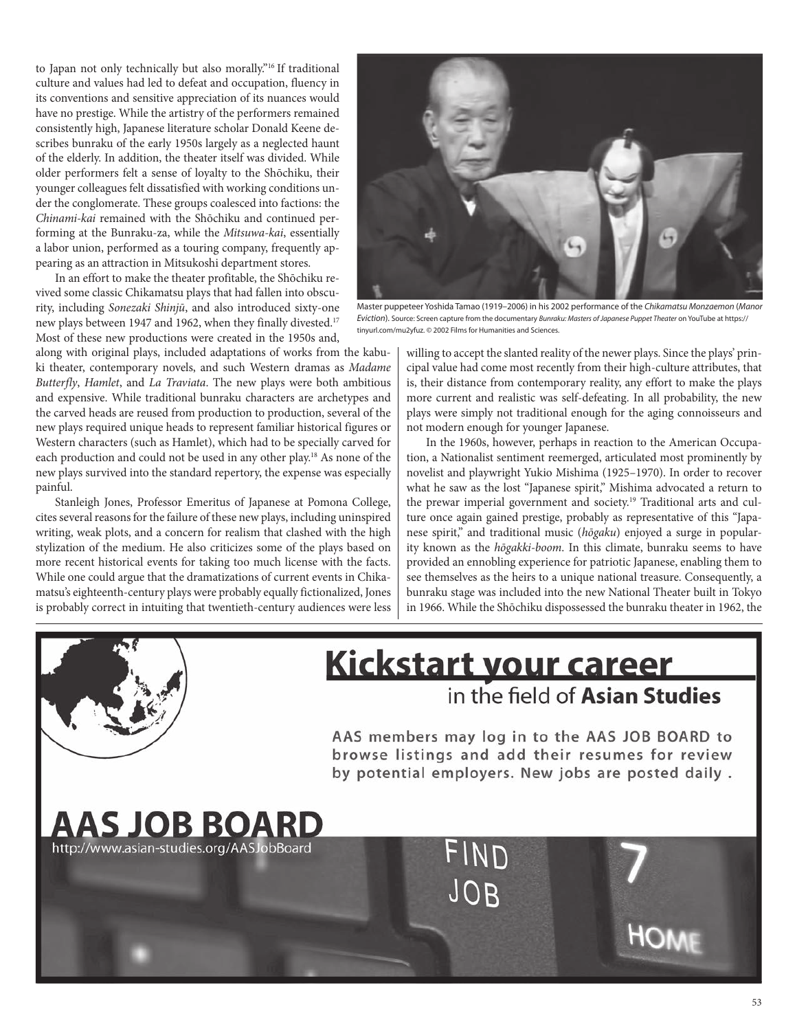to Japan not only technically but also morally."16 If traditional culture and values had led to defeat and occupation, fluency in its conventions and sensitive appreciation of its nuances would have no prestige. While the artistry of the performers remained consistently high, Japanese literature scholar Donald Keene describes bunraku of the early 1950s largely as a neglected haunt of the elderly. In addition, the theater itself was divided. While older performers felt a sense of loyalty to the Shōchiku, their younger colleagues felt dissatisfied with working conditions under the conglomerate. These groups coalesced into factions: the *Chinami-kai* remained with the Shōchiku and continued performing at the Bunraku-za, while the *Mitsuwa-kai*, essentially a labor union, performed as a touring company, frequently appearing as an attraction in Mitsukoshi department stores.

In an effort to make the theater profitable, the Shōchiku revived some classic Chikamatsu plays that had fallen into obscurity, including *Sonezaki Shinjū*, and also introduced sixty-one new plays between 1947 and 1962, when they finally divested.<sup>17</sup> Most of these new productions were created in the 1950s and,

along with original plays, included adaptations of works from the kabuki theater, contemporary novels, and such Western dramas as *Madame Butterfly*, *Hamlet*, and *La Traviata*. The new plays were both ambitious and expensive. While traditional bunraku characters are archetypes and the carved heads are reused from production to production, several of the new plays required unique heads to represent familiar historical figures or Western characters (such as Hamlet), which had to be specially carved for each production and could not be used in any other play.18 As none of the new plays survived into the standard repertory, the expense was especially painful.

Stanleigh Jones, Professor Emeritus of Japanese at Pomona College, cites several reasons for the failure of these new plays, including uninspired writing, weak plots, and a concern for realism that clashed with the high stylization of the medium. He also criticizes some of the plays based on more recent historical events for taking too much license with the facts. While one could argue that the dramatizations of current events in Chikamatsu's eighteenth-century plays were probably equally fictionalized, Jones is probably correct in intuiting that twentieth-century audiences were less



Master puppeteer Yoshida Tamao (1919–2006) in his 2002 performance of the *Chikamatsu Monzaemon* (*Manor Eviction*). Source: Screen capture from the documentary *Bunraku: Masters of Japanese Puppet Theater* on YouTube at https:// tinyurl.com/mu2yfuz. © 2002 Films for Humanities and Sciences.

willing to accept the slanted reality of the newer plays. Since the plays' principal value had come most recently from their high-culture attributes, that is, their distance from contemporary reality, any effort to make the plays more current and realistic was self-defeating. In all probability, the new plays were simply not traditional enough for the aging connoisseurs and not modern enough for younger Japanese.

In the 1960s, however, perhaps in reaction to the American Occupation, a Nationalist sentiment reemerged, articulated most prominently by novelist and playwright Yukio Mishima (1925–1970). In order to recover what he saw as the lost "Japanese spirit," Mishima advocated a return to the prewar imperial government and society.<sup>19</sup> Traditional arts and culture once again gained prestige, probably as representative of this "Japanese spirit," and traditional music (*hōgaku*) enjoyed a surge in popularity known as the *hōgakki-boom*. In this climate, bunraku seems to have provided an ennobling experience for patriotic Japanese, enabling them to see themselves as the heirs to a unique national treasure. Consequently, a bunraku stage was included into the new National Theater built in Tokyo in 1966. While the Shōchiku dispossessed the bunraku theater in 1962, the

## <u>Kickstart vour career</u> in the field of Asian Studies AAS members may log in to the AAS JOB BOARD to browse listings and add their resumes for review by potential employers. New jobs are posted daily. AAS JOB BOAR http://www.asian-studies.org/AASJobBoard JOR HOME